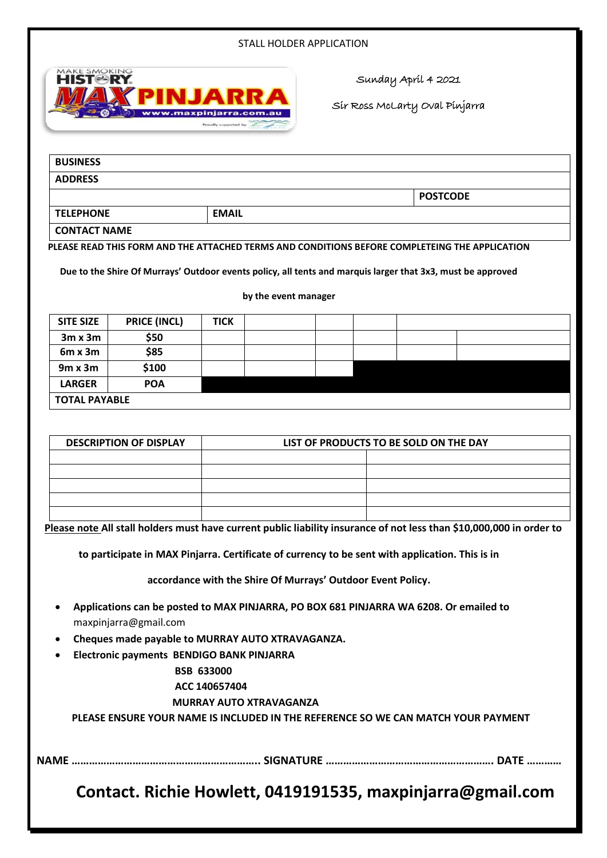#### STALL HOLDER APPLICATION



Sunday April 4 2021

Sir Ross McLarty Oval Pinjarra

| <b>BUSINESS</b> |                 |
|-----------------|-----------------|
| <b>ADDRESS</b>  |                 |
|                 | <b>POSTCODE</b> |

**TELEPHONE EMAIL CONTACT NAME** 

**PLEASE READ THIS FORM AND THE ATTACHED TERMS AND CONDITIONS BEFORE COMPLETEING THE APPLICATION**

**Due to the Shire Of Murrays' Outdoor events policy, all tents and marquis larger that 3x3, must be approved** 

**by the event manager**

| <b>SITE SIZE</b>     | <b>PRICE (INCL)</b> | <b>TICK</b> |  |  |  |
|----------------------|---------------------|-------------|--|--|--|
| $3m \times 3m$       | \$50                |             |  |  |  |
| $6m \times 3m$       | \$85                |             |  |  |  |
| $9m \times 3m$       | \$100               |             |  |  |  |
| <b>LARGER</b>        | <b>POA</b>          |             |  |  |  |
| <b>TOTAL PAYABLE</b> |                     |             |  |  |  |

| <b>DESCRIPTION OF DISPLAY</b> | LIST OF PRODUCTS TO BE SOLD ON THE DAY |  |  |  |  |
|-------------------------------|----------------------------------------|--|--|--|--|
|                               |                                        |  |  |  |  |
|                               |                                        |  |  |  |  |
|                               |                                        |  |  |  |  |
|                               |                                        |  |  |  |  |
|                               |                                        |  |  |  |  |

**Please note All stall holders must have current public liability insurance of not less than \$10,000,000 in order to**

**to participate in MAX Pinjarra. Certificate of currency to be sent with application. This is in** 

**accordance with the Shire Of Murrays' Outdoor Event Policy.**

- **Applications can be posted to MAX PINJARRA, PO BOX 681 PINJARRA WA 6208. Or emailed to**  maxpinjarra@gmail.com
- **Cheques made payable to MURRAY AUTO XTRAVAGANZA.**
- **Electronic payments BENDIGO BANK PINJARRA**

## **BSB 633000**

#### **ACC 140657404**

## **MURRAY AUTO XTRAVAGANZA**

**PLEASE ENSURE YOUR NAME IS INCLUDED IN THE REFERENCE SO WE CAN MATCH YOUR PAYMENT**

**NAME ……………………………………………………….. SIGNATURE …………………………………………………. DATE …………**

**Contact. Richie Howlett, 0419191535, maxpinjarra@gmail.com**